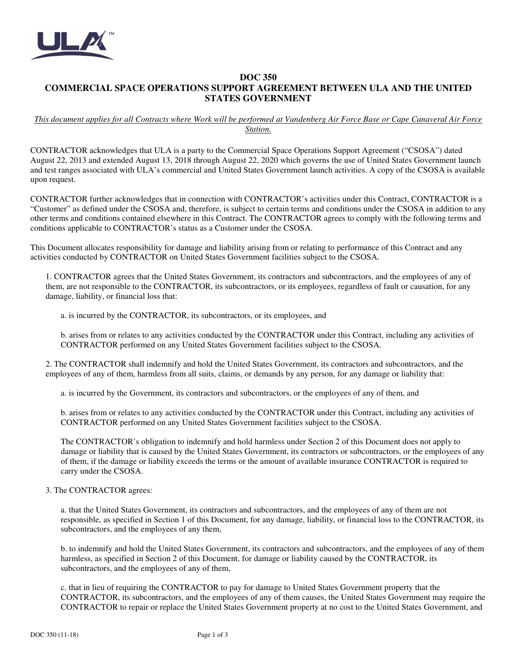

## **DOC 350 COMMERCIAL SPACE OPERATIONS SUPPORT AGREEMENT BETWEEN ULA AND THE UNITED STATES GOVERNMENT**

## *This document applies for all Contracts where Work will be performed at Vandenberg Air Force Base or Cape Canaveral Air Force Station.*

CONTRACTOR acknowledges that ULA is a party to the Commercial Space Operations Support Agreement ("CSOSA") dated August 22, 2013 and extended August 13, 2018 through August 22, 2020 which governs the use of United States Government launch and test ranges associated with ULA's commercial and United States Government launch activities. A copy of the CSOSA is available upon request.

CONTRACTOR further acknowledges that in connection with CONTRACTOR's activities under this Contract, CONTRACTOR is a "Customer" as defined under the CSOSA and, therefore, is subject to certain terms and conditions under the CSOSA in addition to any other terms and conditions contained elsewhere in this Contract. The CONTRACTOR agrees to comply with the following terms and conditions applicable to CONTRACTOR's status as a Customer under the CSOSA.

This Document allocates responsibility for damage and liability arising from or relating to performance of this Contract and any activities conducted by CONTRACTOR on United States Government facilities subject to the CSOSA.

1. CONTRACTOR agrees that the United States Government, its contractors and subcontractors, and the employees of any of them, are not responsible to the CONTRACTOR, its subcontractors, or its employees, regardless of fault or causation, for any damage, liability, or financial loss that:

a. is incurred by the CONTRACTOR, its subcontractors, or its employees, and

b. arises from or relates to any activities conducted by the CONTRACTOR under this Contract, including any activities of CONTRACTOR performed on any United States Government facilities subject to the CSOSA.

2. The CONTRACTOR shall indemnify and hold the United States Government, its contractors and subcontractors, and the employees of any of them, harmless from all suits, claims, or demands by any person, for any damage or liability that:

a. is incurred by the Government, its contractors and subcontractors, or the employees of any of them, and

b. arises from or relates to any activities conducted by the CONTRACTOR under this Contract, including any activities of CONTRACTOR performed on any United States Government facilities subject to the CSOSA.

The CONTRACTOR's obligation to indemnify and hold harmless under Section 2 of this Document does not apply to damage or liability that is caused by the United States Government, its contractors or subcontractors, or the employees of any of them, if the damage or liability exceeds the terms or the amount of available insurance CONTRACTOR is required to carry under the CSOSA.

## 3. The CONTRACTOR agrees:

a. that the United States Government, its contractors and subcontractors, and the employees of any of them are not responsible, as specified in Section 1 of this Document, for any damage, liability, or financial loss to the CONTRACTOR, its subcontractors, and the employees of any them,

b. to indemnify and hold the United States Government, its contractors and subcontractors, and the employees of any of them harmless, as specified in Section 2 of this Document, for damage or liability caused by the CONTRACTOR, its subcontractors, and the employees of any of them,

c. that in lieu of requiring the CONTRACTOR to pay for damage to United States Government property that the CONTRACTOR, its subcontractors, and the employees of any of them causes, the United States Government may require the CONTRACTOR to repair or replace the United States Government property at no cost to the United States Government, and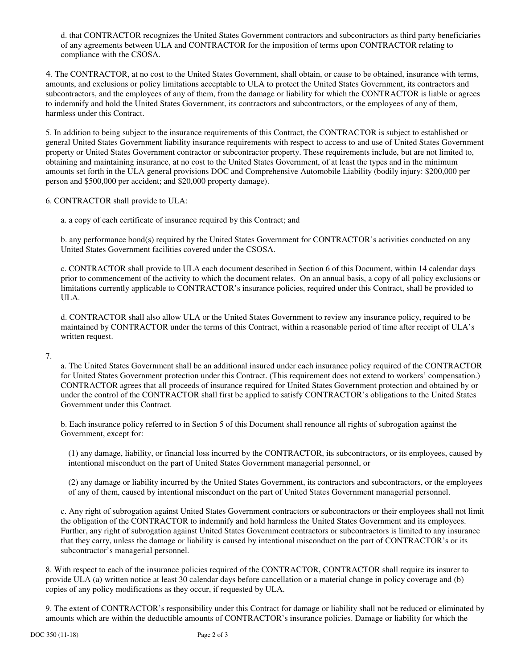d. that CONTRACTOR recognizes the United States Government contractors and subcontractors as third party beneficiaries of any agreements between ULA and CONTRACTOR for the imposition of terms upon CONTRACTOR relating to compliance with the CSOSA.

4. The CONTRACTOR, at no cost to the United States Government, shall obtain, or cause to be obtained, insurance with terms, amounts, and exclusions or policy limitations acceptable to ULA to protect the United States Government, its contractors and subcontractors, and the employees of any of them, from the damage or liability for which the CONTRACTOR is liable or agrees to indemnify and hold the United States Government, its contractors and subcontractors, or the employees of any of them, harmless under this Contract.

5. In addition to being subject to the insurance requirements of this Contract, the CONTRACTOR is subject to established or general United States Government liability insurance requirements with respect to access to and use of United States Government property or United States Government contractor or subcontractor property. These requirements include, but are not limited to, obtaining and maintaining insurance, at no cost to the United States Government, of at least the types and in the minimum amounts set forth in the ULA general provisions DOC and Comprehensive Automobile Liability (bodily injury: \$200,000 per person and \$500,000 per accident; and \$20,000 property damage).

6. CONTRACTOR shall provide to ULA:

a. a copy of each certificate of insurance required by this Contract; and

b. any performance bond(s) required by the United States Government for CONTRACTOR's activities conducted on any United States Government facilities covered under the CSOSA.

c. CONTRACTOR shall provide to ULA each document described in Section 6 of this Document, within 14 calendar days prior to commencement of the activity to which the document relates. On an annual basis, a copy of all policy exclusions or limitations currently applicable to CONTRACTOR's insurance policies, required under this Contract, shall be provided to ULA.

d. CONTRACTOR shall also allow ULA or the United States Government to review any insurance policy, required to be maintained by CONTRACTOR under the terms of this Contract, within a reasonable period of time after receipt of ULA's written request.

7.

a. The United States Government shall be an additional insured under each insurance policy required of the CONTRACTOR for United States Government protection under this Contract. (This requirement does not extend to workers' compensation.) CONTRACTOR agrees that all proceeds of insurance required for United States Government protection and obtained by or under the control of the CONTRACTOR shall first be applied to satisfy CONTRACTOR's obligations to the United States Government under this Contract.

b. Each insurance policy referred to in Section 5 of this Document shall renounce all rights of subrogation against the Government, except for:

(1) any damage, liability, or financial loss incurred by the CONTRACTOR, its subcontractors, or its employees, caused by intentional misconduct on the part of United States Government managerial personnel, or

(2) any damage or liability incurred by the United States Government, its contractors and subcontractors, or the employees of any of them, caused by intentional misconduct on the part of United States Government managerial personnel.

c. Any right of subrogation against United States Government contractors or subcontractors or their employees shall not limit the obligation of the CONTRACTOR to indemnify and hold harmless the United States Government and its employees. Further, any right of subrogation against United States Government contractors or subcontractors is limited to any insurance that they carry, unless the damage or liability is caused by intentional misconduct on the part of CONTRACTOR's or its subcontractor's managerial personnel.

8. With respect to each of the insurance policies required of the CONTRACTOR, CONTRACTOR shall require its insurer to provide ULA (a) written notice at least 30 calendar days before cancellation or a material change in policy coverage and (b) copies of any policy modifications as they occur, if requested by ULA.

9. The extent of CONTRACTOR's responsibility under this Contract for damage or liability shall not be reduced or eliminated by amounts which are within the deductible amounts of CONTRACTOR's insurance policies. Damage or liability for which the